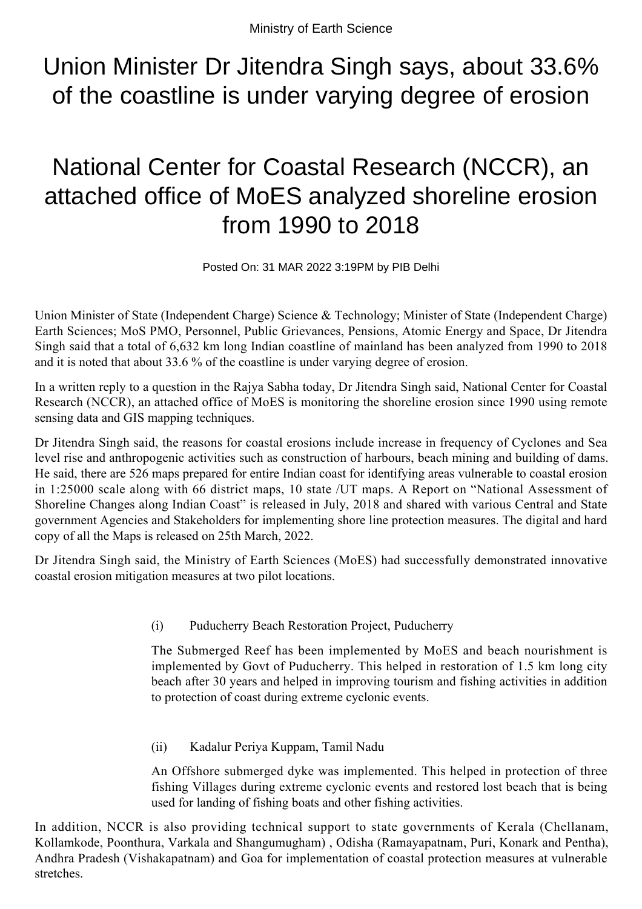Union Minister Dr Jitendra Singh says, about 33.6% of the coastline is under varying degree of erosion

## National Center for Coastal Research (NCCR), an attached office of MoES analyzed shoreline erosion from 1990 to 2018

Posted On: 31 MAR 2022 3:19PM by PIB Delhi

Union Minister of State (Independent Charge) Science & Technology; Minister of State (Independent Charge) Earth Sciences; MoS PMO, Personnel, Public Grievances, Pensions, Atomic Energy and Space, Dr Jitendra Singh said that a total of 6,632 km long Indian coastline of mainland has been analyzed from 1990 to 2018 and it is noted that about 33.6 % of the coastline is under varying degree of erosion.

In a written reply to a question in the Rajya Sabha today, Dr Jitendra Singh said, National Center for Coastal Research (NCCR), an attached office of MoES is monitoring the shoreline erosion since 1990 using remote sensing data and GIS mapping techniques.

Dr Jitendra Singh said, the reasons for coastal erosions include increase in frequency of Cyclones and Sea level rise and anthropogenic activities such as construction of harbours, beach mining and building of dams. He said, there are 526 maps prepared for entire Indian coast for identifying areas vulnerable to coastal erosion in 1:25000 scale along with 66 district maps, 10 state /UT maps. A Report on "National Assessment of Shoreline Changes along Indian Coast" is released in July, 2018 and shared with various Central and State government Agencies and Stakeholders for implementing shore line protection measures. The digital and hard copy of all the Maps is released on 25th March, 2022.

Dr Jitendra Singh said, the Ministry of Earth Sciences (MoES) had successfully demonstrated innovative coastal erosion mitigation measures at two pilot locations.

(i) Puducherry Beach Restoration Project, Puducherry

The Submerged Reef has been implemented by MoES and beach nourishment is implemented by Govt of Puducherry. This helped in restoration of 1.5 km long city beach after 30 years and helped in improving tourism and fishing activities in addition to protection of coast during extreme cyclonic events.

(ii) Kadalur Periya Kuppam, Tamil Nadu

An Offshore submerged dyke was implemented. This helped in protection of three fishing Villages during extreme cyclonic events and restored lost beach that is being used for landing of fishing boats and other fishing activities.

In addition, NCCR is also providing technical support to state governments of Kerala (Chellanam, Kollamkode, Poonthura, Varkala and Shangumugham) , Odisha (Ramayapatnam, Puri, Konark and Pentha), Andhra Pradesh (Vishakapatnam) and Goa for implementation of coastal protection measures at vulnerable stretches.